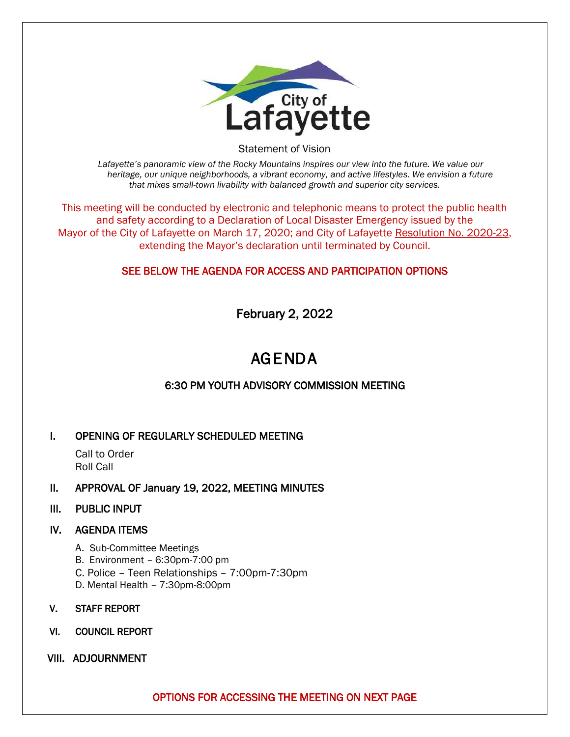

Statement of Vision

*Lafayette's panoramic view of the Rocky Mountains inspires our view into the future. We value our heritage, our unique neighborhoods, a vibrant economy, and active lifestyles. We envision a future that mixes small-town livability with balanced growth and superior city services.*

This meeting will be conducted by electronic and telephonic means to protect the public health and safety according to a Declaration of Local Disaster Emergency issued by the Mayor of the City of Lafayette on March 17, 2020; and City of Lafayette Resolution No. 2020-23, extending the Mayor's declaration until terminated by Council.

### SEE BELOW THE AGENDA FOR ACCESS AND PARTICIPATION OPTIONS

February 2, 2022

# AGENDA

## 6:30 PM YOUTH ADVISORY COMMISSION MEETING

#### I. OPENING OF REGULARLY SCHEDULED MEETING

Call to Order Roll Call

- II. APPROVAL OF January 19, 2022, MEETING MINUTES
- III. PUBLIC INPUT

#### IV. AGENDA ITEMS

- A. Sub-Committee Meetings
- B. Environment 6:30pm-7:00 pm
- C. Police Teen Relationships 7:00pm-7:30pm
- D. Mental Health 7:30pm-8:00pm
- V. STAFF REPORT
- VI. COUNCIL REPORT
- VIII. ADJOURNMENT

OPTIONS FOR ACCESSING THE MEETING ON NEXT PAGE